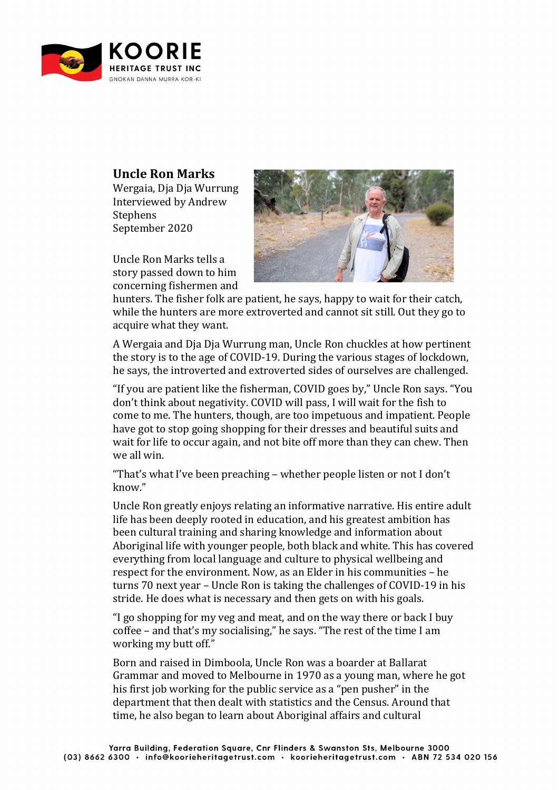

## **Uncle Ron Marks**

Wergaia, Dja Dja Wurrung Interviewed by Andrew Stephens September 2020

Uncle Ron Marks tells a story passed down to him concerning fishermen and



hunters. The fisher folk are patient, he says, happy to wait for their catch, while the hunters are more extroverted and cannot sit still. Out they go to acquire what they want.

A Wergaia and Dia Dia Wurrung man, Uncle Ron chuckles at how pertinent the story is to the age of COVID-19. During the various stages of lockdown, he says, the introverted and extroverted sides of ourselves are challenged.

"If you are patient like the fisherman, COVID goes by," Uncle Ron says, "You don't think about negativity. COVID will pass, I will wait for the fish to come to me. The hunters, though, are too impetuous and impatient. People have got to stop going shopping for their dresses and beautiful suits and wait for life to occur again, and not bite off more than they can chew. Then we all win.

"That's what I've been preaching  $-$  whether people listen or not I don't know."

Uncle Ron greatly enjoys relating an informative narrative. His entire adult life has been deeply rooted in education, and his greatest ambition has been cultural training and sharing knowledge and information about Aboriginal life with younger people, both black and white. This has covered everything from local language and culture to physical wellbeing and respect for the environment. Now, as an Elder in his communities - he turns  $70$  next year – Uncle Ron is taking the challenges of COVID-19 in his stride. He does what is necessary and then gets on with his goals.

"I go shopping for my veg and meat, and on the way there or back I buy coffee - and that's my socialising," he says. "The rest of the time I am working my butt off."

Born and raised in Dimboola, Uncle Ron was a boarder at Ballarat Grammar and moved to Melbourne in 1970 as a young man, where he got his first job working for the public service as a "pen pusher" in the department that then dealt with statistics and the Census. Around that time, he also began to learn about Aboriginal affairs and cultural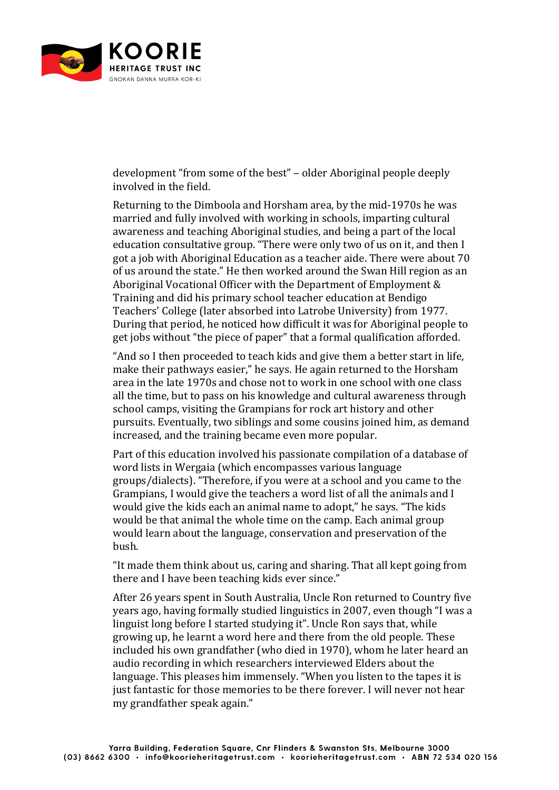

development "from some of the best" – older Aboriginal people deeply involved in the field.

Returning to the Dimboola and Horsham area, by the mid-1970s he was married and fully involved with working in schools, imparting cultural awareness and teaching Aboriginal studies, and being a part of the local education consultative group. "There were only two of us on it, and then I got a job with Aboriginal Education as a teacher aide. There were about 70 of us around the state." He then worked around the Swan Hill region as an Aboriginal Vocational Officer with the Department of Employment & Training and did his primary school teacher education at Bendigo Teachers' College (later absorbed into Latrobe University) from 1977. During that period, he noticed how difficult it was for Aboriginal people to get jobs without "the piece of paper" that a formal qualification afforded.

"And so I then proceeded to teach kids and give them a better start in life, make their pathways easier," he says. He again returned to the Horsham area in the late 1970s and chose not to work in one school with one class all the time, but to pass on his knowledge and cultural awareness through school camps, visiting the Grampians for rock art history and other pursuits. Eventually, two siblings and some cousins joined him, as demand increased, and the training became even more popular.

Part of this education involved his passionate compilation of a database of word lists in Wergaia (which encompasses various language groups/dialects). "Therefore, if you were at a school and you came to the Grampians, I would give the teachers a word list of all the animals and I would give the kids each an animal name to adopt," he says. "The kids would be that animal the whole time on the camp. Each animal group would learn about the language, conservation and preservation of the bush. 

"It made them think about us, caring and sharing. That all kept going from there and I have been teaching kids ever since."

After 26 years spent in South Australia, Uncle Ron returned to Country five years ago, having formally studied linguistics in 2007, even though "I was a linguist long before I started studying it". Uncle Ron says that, while growing up, he learnt a word here and there from the old people. These included his own grandfather (who died in 1970), whom he later heard an audio recording in which researchers interviewed Elders about the language. This pleases him immensely. "When you listen to the tapes it is just fantastic for those memories to be there forever. I will never not hear my grandfather speak again."